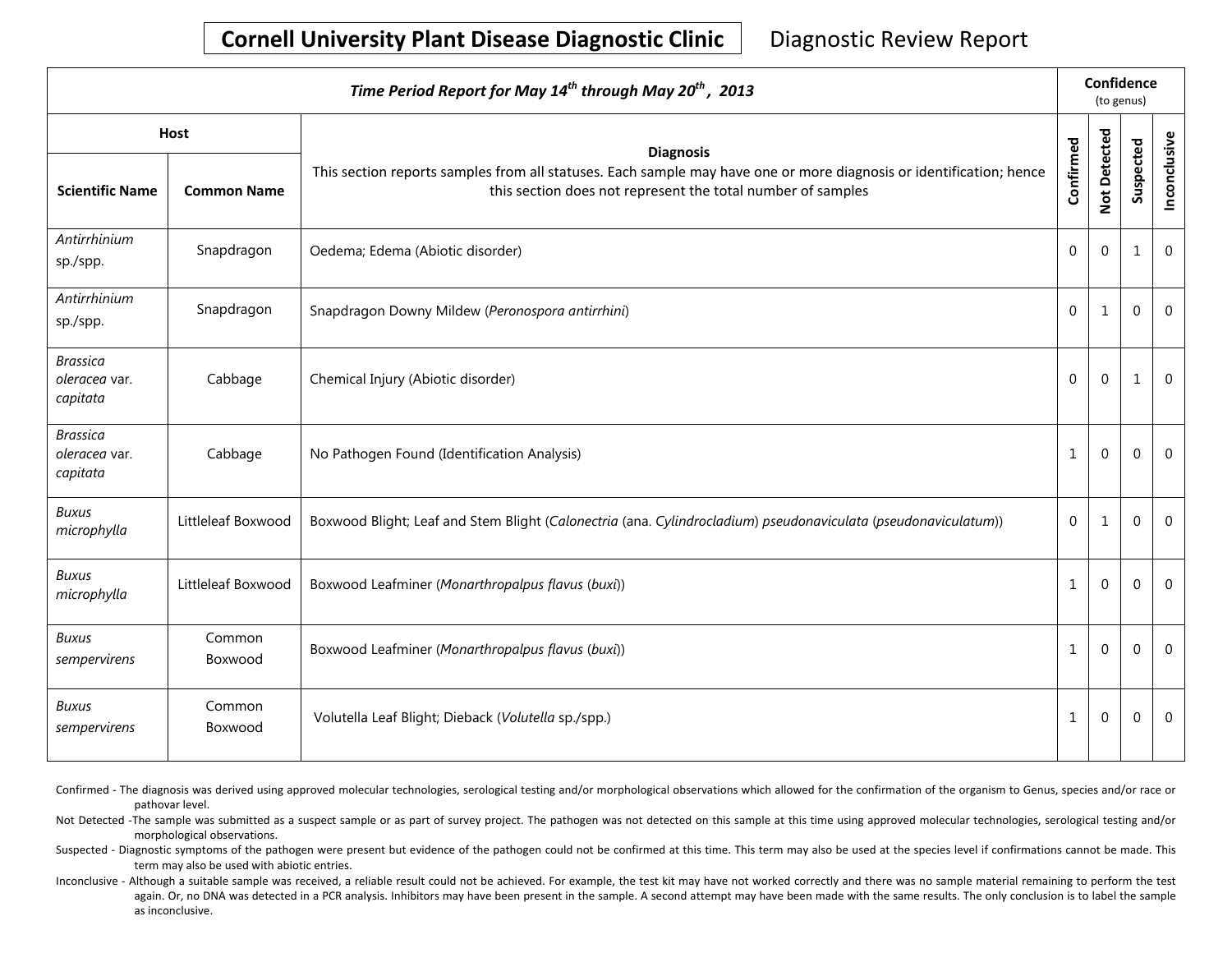## **Cornell University Plant Disease Diagnostic Clinic** | Diagnostic Review Report

| Time Period Report for May 14 <sup>th</sup> through May 20 <sup>th</sup> , 2013 |                                   |                                                                                                                                                                                                        |              | Confidence<br>(to genus) |              |              |  |
|---------------------------------------------------------------------------------|-----------------------------------|--------------------------------------------------------------------------------------------------------------------------------------------------------------------------------------------------------|--------------|--------------------------|--------------|--------------|--|
| <b>Scientific Name</b>                                                          | <b>Host</b><br><b>Common Name</b> | <b>Diagnosis</b><br>This section reports samples from all statuses. Each sample may have one or more diagnosis or identification; hence<br>this section does not represent the total number of samples | Confirmed    | Not Detected             | Suspected    | Inconclusive |  |
| Antirrhinium<br>sp./spp.                                                        | Snapdragon                        | Oedema; Edema (Abiotic disorder)                                                                                                                                                                       | 0            | $\mathbf{0}$             | 1            | $\mathbf 0$  |  |
| Antirrhinium<br>sp./spp.                                                        | Snapdragon                        | Snapdragon Downy Mildew (Peronospora antirrhini)                                                                                                                                                       | $\mathbf 0$  | $\mathbf{1}$             | $\mathbf{0}$ | $\Omega$     |  |
| <b>Brassica</b><br>oleracea var.<br>capitata                                    | Cabbage                           | Chemical Injury (Abiotic disorder)                                                                                                                                                                     | 0            | $\mathbf{0}$             | $\mathbf{1}$ | $\mathbf 0$  |  |
| <b>Brassica</b><br>oleracea var.<br>capitata                                    | Cabbage                           | No Pathogen Found (Identification Analysis)                                                                                                                                                            | $\mathbf{1}$ | $\mathbf{0}$             | $\mathbf 0$  | $\mathbf 0$  |  |
| <b>Buxus</b><br>microphylla                                                     | Littleleaf Boxwood                | Boxwood Blight; Leaf and Stem Blight (Calonectria (ana. Cylindrocladium) pseudonaviculata (pseudonaviculatum))                                                                                         | 0            | 1                        | 0            | $\mathbf 0$  |  |
| <b>Buxus</b><br>microphylla                                                     | Littleleaf Boxwood                | Boxwood Leafminer (Monarthropalpus flavus (buxi))                                                                                                                                                      | $\mathbf 1$  | $\Omega$                 | $\mathbf 0$  | $\mathbf 0$  |  |
| <b>Buxus</b><br>sempervirens                                                    | Common<br>Boxwood                 | Boxwood Leafminer (Monarthropalpus flavus (buxi))                                                                                                                                                      | 1            | $\Omega$                 | $\Omega$     | $\Omega$     |  |
| <b>Buxus</b><br>sempervirens                                                    | Common<br>Boxwood                 | Volutella Leaf Blight; Dieback (Volutella sp./spp.)                                                                                                                                                    | $\mathbf{1}$ | $\mathbf 0$              | $\mathbf{0}$ | $\mathbf 0$  |  |

Confirmed - The diagnosis was derived using approved molecular technologies, serological testing and/or morphological observations which allowed for the confirmation of the organism to Genus, species and/or race or pathovar level.

Not Detected -The sample was submitted as a suspect sample or as part of survey project. The pathogen was not detected on this sample at this time using approved molecular technologies, serological testing and/or morphological observations.

Suspected - Diagnostic symptoms of the pathogen were present but evidence of the pathogen could not be confirmed at this time. This term may also be used at the species level if confirmations cannot be made. This term may also be used with abiotic entries.

Inconclusive - Although a suitable sample was received, a reliable result could not be achieved. For example, the test kit may have not worked correctly and there was no sample material remaining to perform the test again. Or, no DNA was detected in a PCR analysis. Inhibitors may have been present in the sample. A second attempt may have been made with the same results. The only conclusion is to label the sample as inconclusive.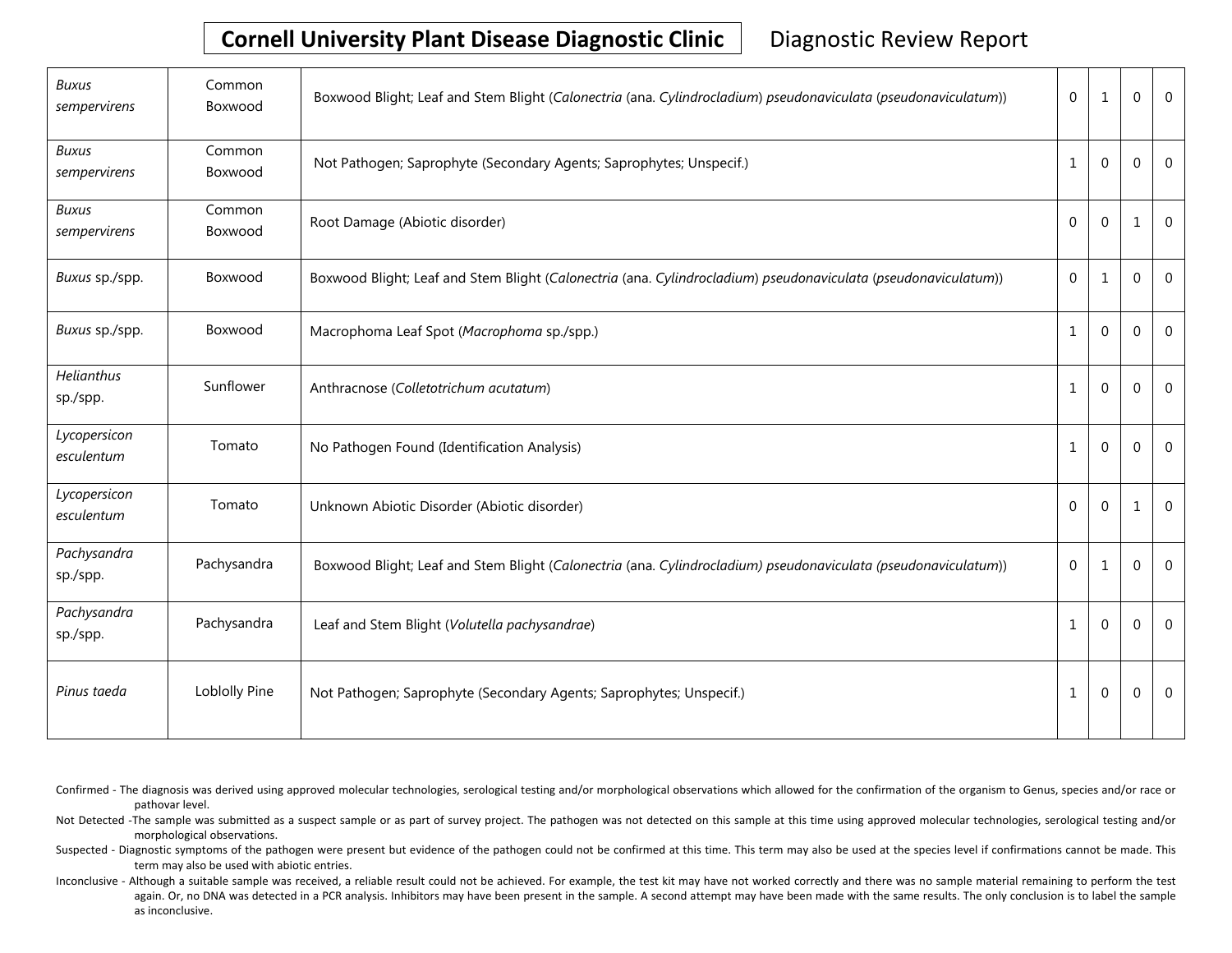# **Cornell University Plant Disease Diagnostic Clinic** | Diagnostic Review Report

| Buxus<br>sempervirens         | Common<br>Boxwood | Boxwood Blight; Leaf and Stem Blight (Calonectria (ana. Cylindrocladium) pseudonaviculata (pseudonaviculatum)) | $\mathbf 0$      | 1                | $\Omega$     | $\Omega$     |
|-------------------------------|-------------------|----------------------------------------------------------------------------------------------------------------|------------------|------------------|--------------|--------------|
| <b>Buxus</b><br>sempervirens  | Common<br>Boxwood | Not Pathogen; Saprophyte (Secondary Agents; Saprophytes; Unspecif.)                                            | $\mathbf{1}$     | $\mathbf 0$      | $\mathbf{0}$ | $\mathbf 0$  |
| <b>Buxus</b><br>sempervirens  | Common<br>Boxwood | Root Damage (Abiotic disorder)                                                                                 | $\mathbf 0$      | $\mathbf 0$      | $\mathbf{1}$ | $\mathbf{0}$ |
| Buxus sp./spp.                | Boxwood           | Boxwood Blight; Leaf and Stem Blight (Calonectria (ana. Cylindrocladium) pseudonaviculata (pseudonaviculatum)) | $\boldsymbol{0}$ | $1\,$            | $\mathbf 0$  | $\mathbf 0$  |
| Buxus sp./spp.                | Boxwood           | Macrophoma Leaf Spot (Macrophoma sp./spp.)                                                                     | $\mathbf{1}$     | $\mathbf 0$      | $\Omega$     | $\mathbf 0$  |
| <b>Helianthus</b><br>sp./spp. | Sunflower         | Anthracnose (Colletotrichum acutatum)                                                                          | $\mathbf{1}$     | $\boldsymbol{0}$ | $\mathbf{0}$ | $\mathbf{0}$ |
| Lycopersicon<br>esculentum    | Tomato            | No Pathogen Found (Identification Analysis)                                                                    | $\mathbf{1}$     | $\mathbf 0$      | $\Omega$     | $\Omega$     |
| Lycopersicon<br>esculentum    | Tomato            | Unknown Abiotic Disorder (Abiotic disorder)                                                                    | $\mathbf 0$      | $\mathbf 0$      | 1            | $\mathbf{0}$ |
| Pachysandra<br>sp./spp.       | Pachysandra       | Boxwood Blight; Leaf and Stem Blight (Calonectria (ana. Cylindrocladium) pseudonaviculata (pseudonaviculatum)) | $\mathbf 0$      | $\mathbf{1}$     | $\mathbf{0}$ | $\mathbf{0}$ |
| Pachysandra<br>sp./spp.       | Pachysandra       | Leaf and Stem Blight (Volutella pachysandrae)                                                                  | $\mathbf{1}$     | $\mathbf{0}$     | $\Omega$     | $\Omega$     |
| Pinus taeda                   | Loblolly Pine     | Not Pathogen; Saprophyte (Secondary Agents; Saprophytes; Unspecif.)                                            | 1                | $\boldsymbol{0}$ | $\mathbf{0}$ | $\mathbf{0}$ |

Confirmed - The diagnosis was derived using approved molecular technologies, serological testing and/or morphological observations which allowed for the confirmation of the organism to Genus, species and/or race or pathovar level.

Not Detected -The sample was submitted as a suspect sample or as part of survey project. The pathogen was not detected on this sample at this time using approved molecular technologies, serological testing and/or morphological observations.

Suspected - Diagnostic symptoms of the pathogen were present but evidence of the pathogen could not be confirmed at this time. This term may also be used at the species level if confirmations cannot be made. This term may also be used with abiotic entries.

Inconclusive - Although a suitable sample was received, a reliable result could not be achieved. For example, the test kit may have not worked correctly and there was no sample material remaining to perform the test again. Or, no DNA was detected in a PCR analysis. Inhibitors may have been present in the sample. A second attempt may have been made with the same results. The only conclusion is to label the sample as inconclusive.